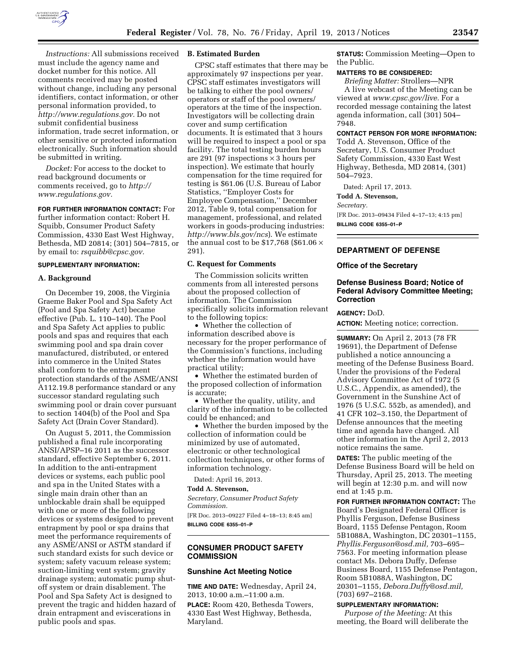

*Instructions:* All submissions received must include the agency name and docket number for this notice. All comments received may be posted without change, including any personal identifiers, contact information, or other personal information provided, to *[http://www.regulations.gov.](http://www.regulations.gov)* Do not submit confidential business information, trade secret information, or other sensitive or protected information

electronically. Such information should be submitted in writing. *Docket:* For access to the docket to

read background documents or comments received, go to *[http://](http://www.regulations.gov)  [www.regulations.gov.](http://www.regulations.gov)* 

**FOR FURTHER INFORMATION CONTACT:** For further information contact: Robert H. Squibb, Consumer Product Safety

Commission, 4330 East West Highway, Bethesda, MD 20814; (301) 504–7815, or by email to: *[rsquibb@cpsc.gov.](mailto:rsquibb@cpsc.gov)* 

## **SUPPLEMENTARY INFORMATION:**

### **A. Background**

On December 19, 2008, the Virginia Graeme Baker Pool and Spa Safety Act (Pool and Spa Safety Act) became effective (Pub. L. 110–140). The Pool and Spa Safety Act applies to public pools and spas and requires that each swimming pool and spa drain cover manufactured, distributed, or entered into commerce in the United States shall conform to the entrapment protection standards of the ASME/ANSI A112.19.8 performance standard or any successor standard regulating such swimming pool or drain cover pursuant to section 1404(b) of the Pool and Spa Safety Act (Drain Cover Standard).

On August 5, 2011, the Commission published a final rule incorporating ANSI/APSP–16 2011 as the successor standard, effective September 6, 2011. In addition to the anti-entrapment devices or systems, each public pool and spa in the United States with a single main drain other than an unblockable drain shall be equipped with one or more of the following devices or systems designed to prevent entrapment by pool or spa drains that meet the performance requirements of any ASME/ANSI or ASTM standard if such standard exists for such device or system; safety vacuum release system; suction-limiting vent system; gravity drainage system; automatic pump shutoff system or drain disablement. The Pool and Spa Safety Act is designed to prevent the tragic and hidden hazard of drain entrapment and eviscerations in public pools and spas.

#### **B. Estimated Burden**

CPSC staff estimates that there may be approximately 97 inspections per year. CPSC staff estimates investigators will be talking to either the pool owners/ operators or staff of the pool owners/ operators at the time of the inspection. Investigators will be collecting drain cover and sump certification documents. It is estimated that 3 hours will be required to inspect a pool or spa facility. The total testing burden hours are 291 (97 inspections  $\times$  3 hours per inspection). We estimate that hourly compensation for the time required for testing is \$61.06 (U.S. Bureau of Labor Statistics, ''Employer Costs for Employee Compensation,'' December 2012, Table 9, total compensation for management, professional, and related workers in goods-producing industries: *<http://www.bls.gov/ncs>*). We estimate the annual cost to be \$17,768 (\$61.06  $\times$ 291).

#### **C. Request for Comments**

The Commission solicits written comments from all interested persons about the proposed collection of information. The Commission specifically solicits information relevant to the following topics:

• Whether the collection of information described above is necessary for the proper performance of the Commission's functions, including whether the information would have practical utility;

• Whether the estimated burden of the proposed collection of information is accurate;

• Whether the quality, utility, and clarity of the information to be collected could be enhanced; and

• Whether the burden imposed by the collection of information could be minimized by use of automated, electronic or other technological collection techniques, or other forms of information technology.

Dated: April 16, 2013.

# **Todd A. Stevenson,**

*Secretary, Consumer Product Safety Commission.* 

[FR Doc. 2013–09227 Filed 4–18–13; 8:45 am] **BILLING CODE 6355–01–P** 

# **CONSUMER PRODUCT SAFETY COMMISSION**

### **Sunshine Act Meeting Notice**

**TIME AND DATE:** Wednesday, April 24, 2013, 10:00 a.m.–11:00 a.m.

**PLACE:** Room 420, Bethesda Towers, 4330 East West Highway, Bethesda, Maryland.

**STATUS:** Commission Meeting—Open to the Public.

## **MATTERS TO BE CONSIDERED:**

*Briefing Matter:* Strollers—NPR A live webcast of the Meeting can be viewed at *[www.cpsc.gov/live.](http://www.cpsc.gov/live)* For a recorded message containing the latest agenda information, call (301) 504– 7948.

# **CONTACT PERSON FOR MORE INFORMATION:**

Todd A. Stevenson, Office of the Secretary, U.S. Consumer Product Safety Commission, 4330 East West Highway, Bethesda, MD 20814, (301) 504–7923.

Dated: April 17, 2013.

**Todd A. Stevenson,** 

#### *Secretary.*

[FR Doc. 2013–09434 Filed 4–17–13; 4:15 pm] **BILLING CODE 6355–01–P** 

## **DEPARTMENT OF DEFENSE**

#### **Office of the Secretary**

# **Defense Business Board; Notice of Federal Advisory Committee Meeting; Correction**

### **AGENCY:** DoD.

**ACTION:** Meeting notice; correction.

**SUMMARY:** On April 2, 2013 (78 FR 19691), the Department of Defense published a notice announcing a meeting of the Defense Business Board. Under the provisions of the Federal Advisory Committee Act of 1972 (5 U.S.C., Appendix, as amended), the Government in the Sunshine Act of 1976 (5 U.S.C. 552b, as amended), and 41 CFR 102–3.150, the Department of Defense announces that the meeting time and agenda have changed. All other information in the April 2, 2013 notice remains the same.

**DATES:** The public meeting of the Defense Business Board will be held on Thursday, April 25, 2013. The meeting will begin at 12:30 p.m. and will now end at 1:45 p.m.

**FOR FURTHER INFORMATION CONTACT:** The Board's Designated Federal Officer is Phyllis Ferguson, Defense Business Board, 1155 Defense Pentagon, Room 5B1088A, Washington, DC 20301–1155, *[Phyllis.Ferguson@osd.mil,](mailto:Phyllis.Ferguson@osd.mil)* 703–695– 7563. For meeting information please contact Ms. Debora Duffy, Defense Business Board, 1155 Defense Pentagon, Room 5B1088A, Washington, DC 20301–1155, *[Debora.Duffy@osd.mil,](mailto:Debora.Duffy@osd.mil)*  (703) 697–2168.

#### **SUPPLEMENTARY INFORMATION:**

*Purpose of the Meeting:* At this meeting, the Board will deliberate the